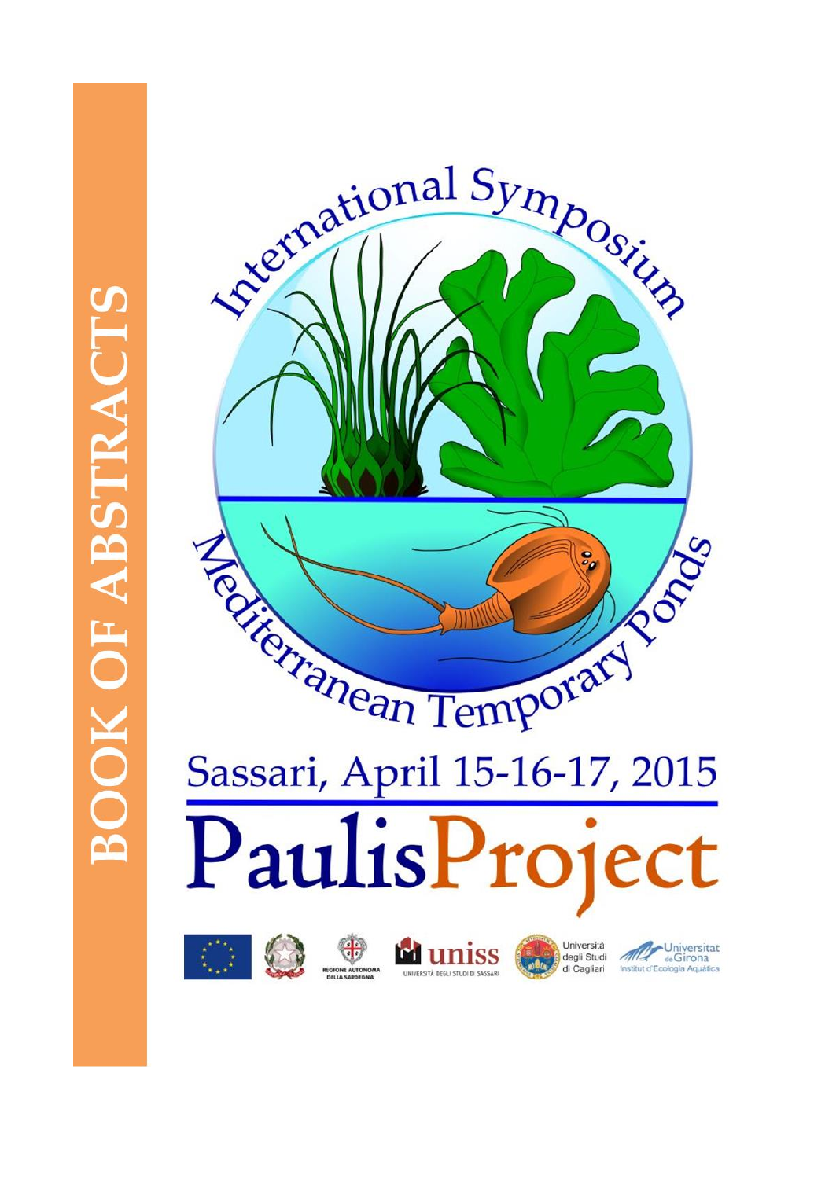













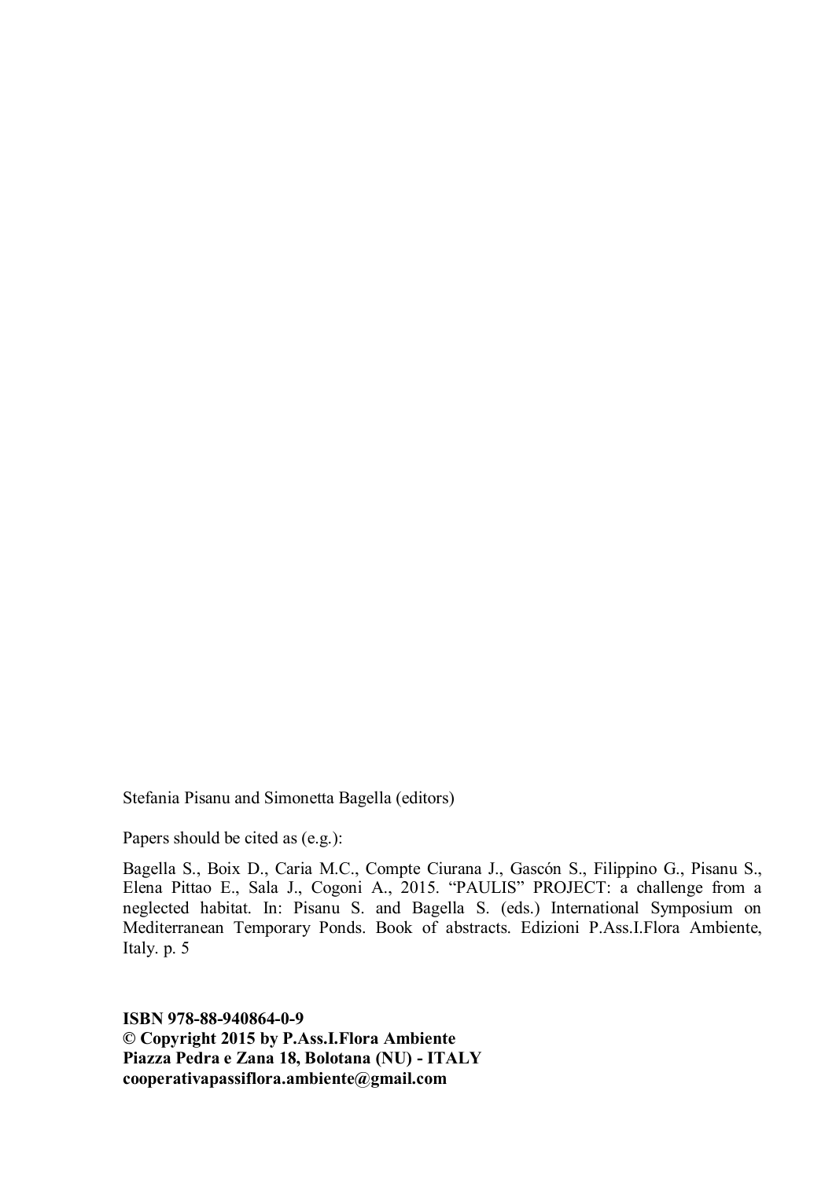Stefania Pisanu and Simonetta Bagella (editors)

Papers should be cited as (e.g.):

Bagella S., Boix D., Caria M.C., Compte Ciurana J., Gascón S., Filippino G., Pisanu S., Elena Pittao E., Sala J., Cogoni A., 2015. "PAULIS" PROJECT: a challenge from a neglected habitat. In: Pisanu S. and Bagella S. (eds.) International Symposium on Mediterranean Temporary Ponds. Book of abstracts. Edizioni P.Ass.I.Flora Ambiente, Italy. p. 5

**ISBN 978-88-940864-0-9 © Copyright 2015 by P.Ass.I.Flora Ambiente Piazza Pedra e Zana 18, Bolotana (NU) - ITALY cooperativapassiflora.ambiente@gmail.com**